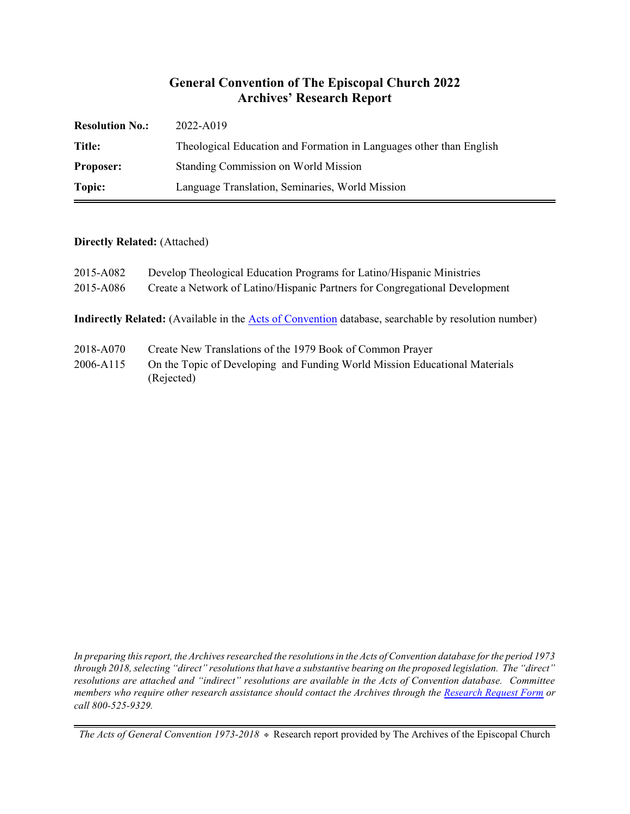#### **General Convention of The Episcopal Church 2022 Archives' Research Report**

| <b>Resolution No.:</b> | 2022-A019                                                           |
|------------------------|---------------------------------------------------------------------|
| Title:                 | Theological Education and Formation in Languages other than English |
| <b>Proposer:</b>       | Standing Commission on World Mission                                |
| Topic:                 | Language Translation, Seminaries, World Mission                     |

#### **Directly Related:** (Attached)

| 2015-A082<br>2015-A086 | Develop Theological Education Programs for Latino/Hispanic Ministries<br>Create a Network of Latino/Hispanic Partners for Congregational Development |
|------------------------|------------------------------------------------------------------------------------------------------------------------------------------------------|
|                        | Indirectly Related: (Available in the Acts of Convention database, searchable by resolution number)                                                  |
| 2018-A070              | Create New Translations of the 1979 Book of Common Prayer                                                                                            |

2006-A115 On the Topic of Developing and Funding World Mission Educational Materials (Rejected)

*In preparing this report, the Archives researched the resolutions in the Acts of Convention database for the period 1973 through 2018, selecting "direct" resolutions that have a substantive bearing on the proposed legislation. The "direct" resolutions are attached and "indirect" resolutions are available in the Acts of Convention database. Committee members who require other research assistance should contact the Archives through the Research [Request Form](https://www.episcopalarchives.org/contact/research-request-form) or call 800-525-9329.*

*The Acts of General Convention 1973-2018*  $*$  Research report provided by The Archives of the Episcopal Church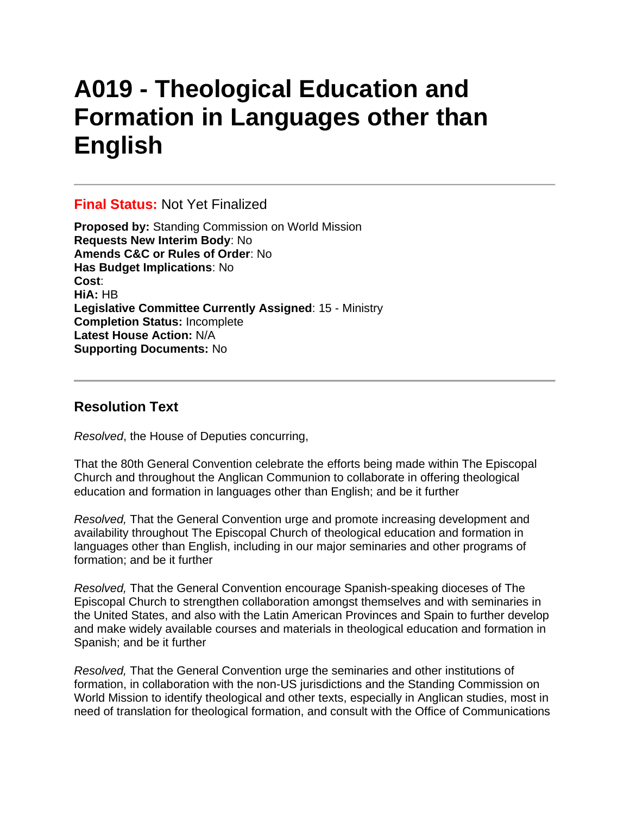# **A019 - Theological Education and Formation in Languages other than English**

#### **Final Status:** Not Yet Finalized

**Proposed by:** Standing Commission on World Mission **Requests New Interim Body**: No **Amends C&C or Rules of Order**: No **Has Budget Implications**: No **Cost**: **HiA:** HB **Legislative Committee Currently Assigned**: 15 - Ministry **Completion Status:** Incomplete **Latest House Action:** N/A **Supporting Documents:** No

### **Resolution Text**

*Resolved*, the House of Deputies concurring,

That the 80th General Convention celebrate the efforts being made within The Episcopal Church and throughout the Anglican Communion to collaborate in offering theological education and formation in languages other than English; and be it further

*Resolved,* That the General Convention urge and promote increasing development and availability throughout The Episcopal Church of theological education and formation in languages other than English, including in our major seminaries and other programs of formation; and be it further

*Resolved,* That the General Convention encourage Spanish-speaking dioceses of The Episcopal Church to strengthen collaboration amongst themselves and with seminaries in the United States, and also with the Latin American Provinces and Spain to further develop and make widely available courses and materials in theological education and formation in Spanish; and be it further

*Resolved,* That the General Convention urge the seminaries and other institutions of formation, in collaboration with the non-US jurisdictions and the Standing Commission on World Mission to identify theological and other texts, especially in Anglican studies, most in need of translation for theological formation, and consult with the Office of Communications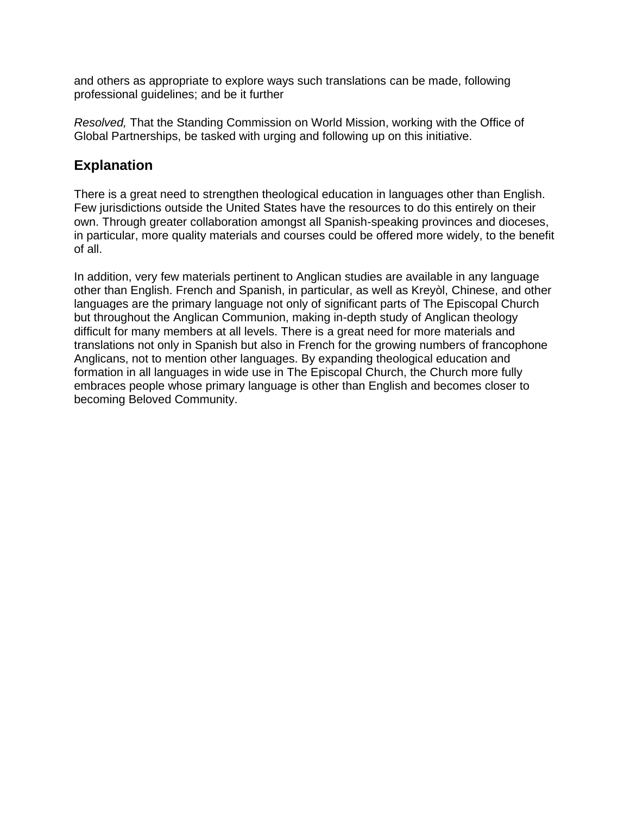and others as appropriate to explore ways such translations can be made, following professional guidelines; and be it further

*Resolved,* That the Standing Commission on World Mission, working with the Office of Global Partnerships, be tasked with urging and following up on this initiative.

## **Explanation**

There is a great need to strengthen theological education in languages other than English. Few jurisdictions outside the United States have the resources to do this entirely on their own. Through greater collaboration amongst all Spanish-speaking provinces and dioceses, in particular, more quality materials and courses could be offered more widely, to the benefit of all.

In addition, very few materials pertinent to Anglican studies are available in any language other than English. French and Spanish, in particular, as well as Kreyòl, Chinese, and other languages are the primary language not only of significant parts of The Episcopal Church but throughout the Anglican Communion, making in-depth study of Anglican theology difficult for many members at all levels. There is a great need for more materials and translations not only in Spanish but also in French for the growing numbers of francophone Anglicans, not to mention other languages. By expanding theological education and formation in all languages in wide use in The Episcopal Church, the Church more fully embraces people whose primary language is other than English and becomes closer to becoming Beloved Community.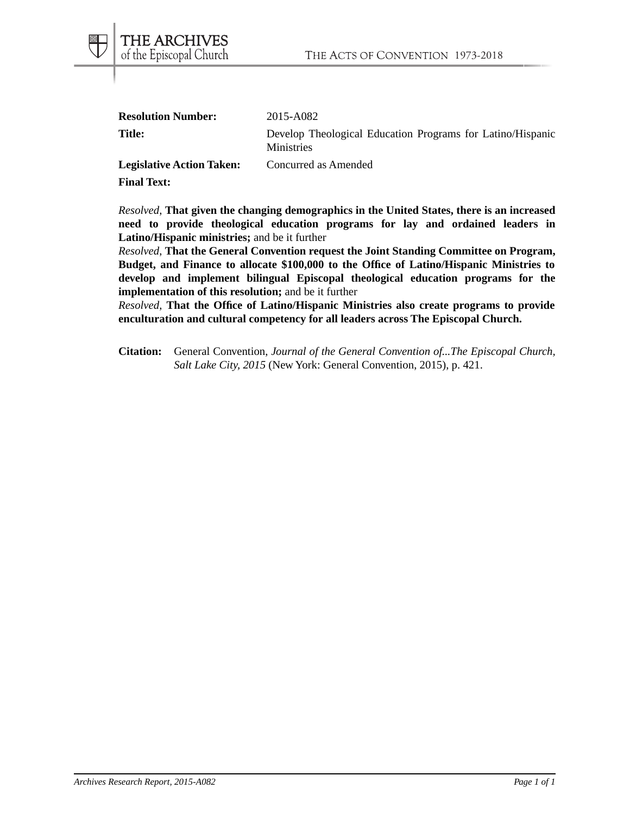| <b>Resolution Number:</b>        | 2015-A082                                                                       |
|----------------------------------|---------------------------------------------------------------------------------|
| <b>Title:</b>                    | Develop Theological Education Programs for Latino/Hispanic<br><b>Ministries</b> |
| <b>Legislative Action Taken:</b> | Concurred as Amended                                                            |

**Final Text:**

*Resolved*, **That given the changing demographics in the United States, there is an increased need to provide theological education programs for lay and ordained leaders in Latino/Hispanic ministries;** and be it further

*Resolved*, **That the General Convention request the Joint Standing Committee on Program, Budget, and Finance to allocate \$100,000 to the Office of Latino/Hispanic Ministries to develop and implement bilingual Episcopal theological education programs for the implementation of this resolution;** and be it further

*Resolved*, **That the Office of Latino/Hispanic Ministries also create programs to provide enculturation and cultural competency for all leaders across The Episcopal Church.**

**Citation:** General Convention, *Journal of the General Convention of...The Episcopal Church, Salt Lake City, 2015* (New York: General Convention, 2015), p. 421.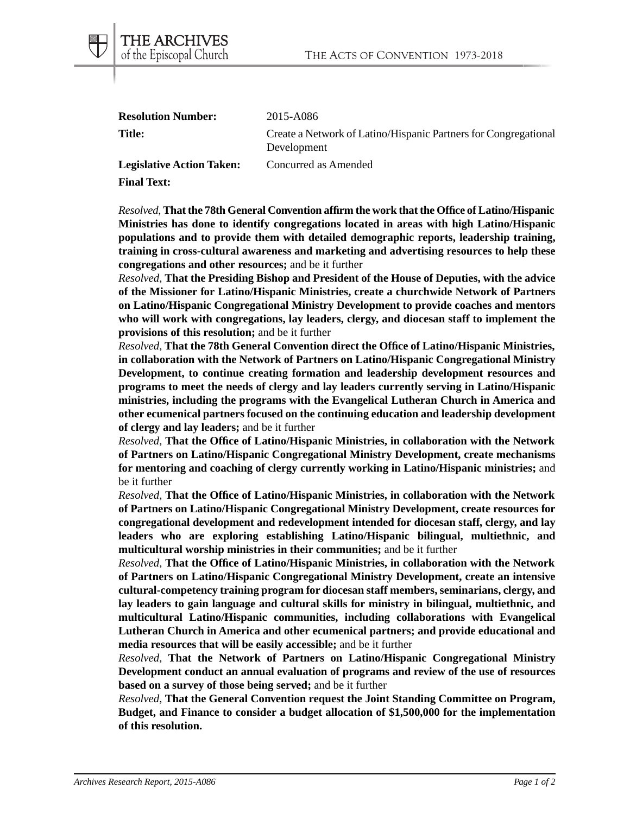| <b>Resolution Number:</b>        | 2015-A086                                                                      |
|----------------------------------|--------------------------------------------------------------------------------|
| <b>Title:</b>                    | Create a Network of Latino/Hispanic Partners for Congregational<br>Development |
| <b>Legislative Action Taken:</b> | Concurred as Amended                                                           |

**Final Text:**

THE ARCHIVES of the Episcopal Church

*Resolved*, **That the 78th General Convention affirm the work that the Office of Latino/Hispanic Ministries has done to identify congregations located in areas with high Latino/Hispanic populations and to provide them with detailed demographic reports, leadership training, training in cross-cultural awareness and marketing and advertising resources to help these congregations and other resources;** and be it further

*Resolved*, **That the Presiding Bishop and President of the House of Deputies, with the advice of the Missioner for Latino/Hispanic Ministries, create a churchwide Network of Partners on Latino/Hispanic Congregational Ministry Development to provide coaches and mentors who will work with congregations, lay leaders, clergy, and diocesan staff to implement the provisions of this resolution;** and be it further

*Resolved*, **That the 78th General Convention direct the Office of Latino/Hispanic Ministries, in collaboration with the Network of Partners on Latino/Hispanic Congregational Ministry Development, to continue creating formation and leadership development resources and programs to meet the needs of clergy and lay leaders currently serving in Latino/Hispanic ministries, including the programs with the Evangelical Lutheran Church in America and other ecumenical partners focused on the continuing education and leadership development of clergy and lay leaders;** and be it further

*Resolved*, **That the Office of Latino/Hispanic Ministries, in collaboration with the Network of Partners on Latino/Hispanic Congregational Ministry Development, create mechanisms for mentoring and coaching of clergy currently working in Latino/Hispanic ministries;** and be it further

*Resolved*, **That the Office of Latino/Hispanic Ministries, in collaboration with the Network of Partners on Latino/Hispanic Congregational Ministry Development, create resources for congregational development and redevelopment intended for diocesan staff, clergy, and lay leaders who are exploring establishing Latino/Hispanic bilingual, multiethnic, and multicultural worship ministries in their communities;** and be it further

*Resolved*, **That the Office of Latino/Hispanic Ministries, in collaboration with the Network of Partners on Latino/Hispanic Congregational Ministry Development, create an intensive cultural-competency training program for diocesan staff members, seminarians, clergy, and lay leaders to gain language and cultural skills for ministry in bilingual, multiethnic, and multicultural Latino/Hispanic communities, including collaborations with Evangelical Lutheran Church in America and other ecumenical partners; and provide educational and media resources that will be easily accessible;** and be it further

*Resolved*, **That the Network of Partners on Latino/Hispanic Congregational Ministry Development conduct an annual evaluation of programs and review of the use of resources based on a survey of those being served;** and be it further

*Resolved*, **That the General Convention request the Joint Standing Committee on Program, Budget, and Finance to consider a budget allocation of \$1,500,000 for the implementation of this resolution.**